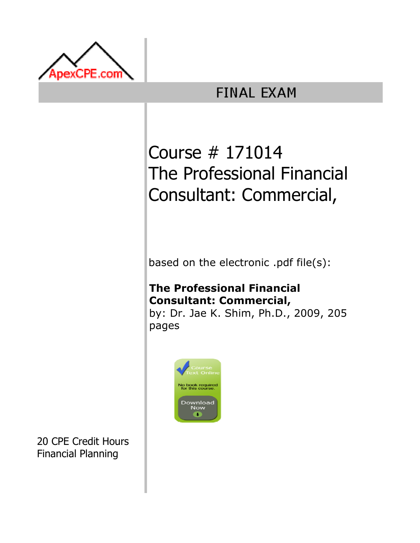

# **FINAL EXAM**

# Course # 171014 The Professional Financial Consultant: Commercial,

based on the electronic .pdf file(s):

# The Professional Financial Consultant: Commercial,

by: Dr. Jae K. Shim, Ph.D., 2009, 205 pages



20 CPE Credit Hours Financial Planning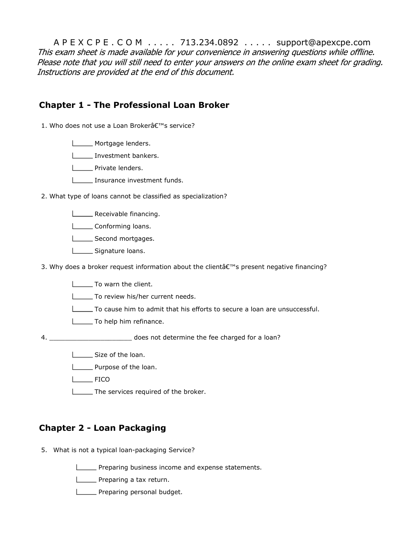A P E X C P E . C O M . . . . . 713.234.0892 . . . . . support@apexcpe.com This exam sheet is made available for your convenience in answering questions while offline. Please note that you will still need to enter your answers on the online exam sheet for grading. Instructions are provided at the end of this document.

### Chapter 1 - The Professional Loan Broker

1. Who does not use a Loan Broker's service?

- **Mortgage lenders.**
- Investment bankers.
- **Private lenders.**
- **Insurance investment funds.**
- 2. What type of loans cannot be classified as specialization?
	- **LETTE** Receivable financing.
	- Conforming loans.
	- Second mortgages.
	- Signature loans.
- 3. Why does a broker request information about the client $\hat{\alpha} \in \mathbb{M}$ s present negative financing?
	- **To warn the client.**
	- To review his/her current needs.
	- To cause him to admit that his efforts to secure a loan are unsuccessful.
	- To help him refinance.

does not determine the fee charged for a loan?

- Size of the loan.
- **Letter** Purpose of the loan.
- $L$  FICO

4.

The services required of the broker.

## Chapter 2 - Loan Packaging

- 5. What is not a typical loan-packaging Service?
	- **Preparing business income and expense statements.**
	- **Letter** Preparing a tax return.
	- **Letter** Preparing personal budget.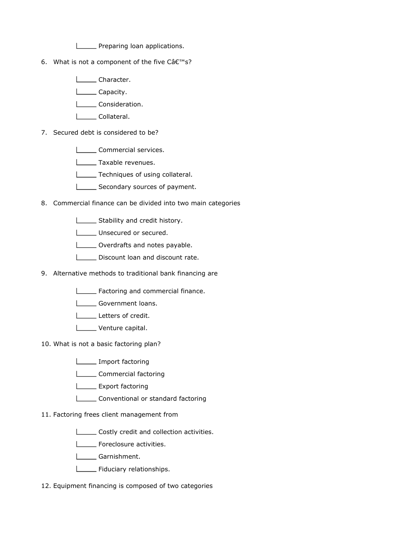**LETT** Preparing loan applications.

6. What is not a component of the five  $C\hat{a}\epsilon^{\text{TM}}$ s?

**Lacker** Character.

- **Letter** Capacity.
- L**L**Consideration.
- L\_\_\_\_\_\_ Collateral.
- 7. Secured debt is considered to be?
	- **LECOMMERCIAL SERVICES.**
	- **L** Taxable revenues.
	- **Techniques of using collateral.**
	- Secondary sources of payment.
- 8. Commercial finance can be divided into two main categories
	- Stability and credit history.
	- Unsecured or secured.
	- **LECT** Overdrafts and notes payable.
	- Discount loan and discount rate.
- 9. Alternative methods to traditional bank financing are
	- **Factoring and commercial finance.**
	- Government loans.
	- Letters of credit.
	- Venture capital.
- 10. What is not a basic factoring plan?
	- **Import factoring**
	- L**LETT** Commercial factoring
	- **L** Export factoring
	- Lonventional or standard factoring
- 11. Factoring frees client management from
	- **LECOSTLE COSTLY credit and collection activities.**
	- **LECTE** Foreclosure activities.
	- **Lacker Garnishment.**
	- **LETTE** Fiduciary relationships.
- 12. Equipment financing is composed of two categories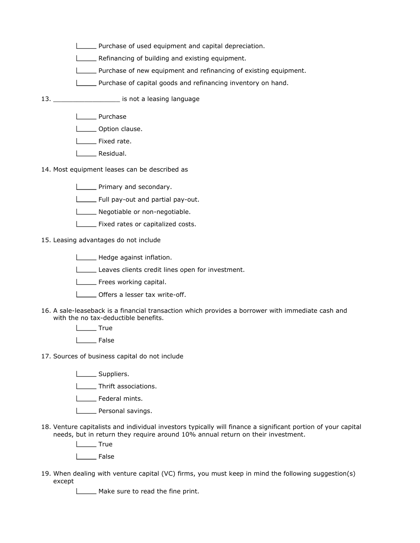- Purchase of used equipment and capital depreciation.
- **LETT** Refinancing of building and existing equipment.
- **Purchase of new equipment and refinancing of existing equipment.**
- Purchase of capital goods and refinancing inventory on hand.
- 13. \_\_\_\_\_\_\_\_\_\_\_\_\_\_\_\_\_ is not a leasing language
	- L**EU** Purchase
	- **LECCC** Option clause.
	- I\_\_\_\_ Fixed rate.
	- **Lackson** Residual.
- 14. Most equipment leases can be described as
	- **LECTE** Primary and secondary.
	- **LETTE:** Full pay-out and partial pay-out.
	- Negotiable or non-negotiable.
	- **Fixed rates or capitalized costs.**
- 15. Leasing advantages do not include
	- Hedge against inflation.
	- Leaves clients credit lines open for investment.
	- **LECT** Frees working capital.
	- **LETTE:** Offers a lesser tax write-off.
- 16. A sale-leaseback is a financial transaction which provides a borrower with immediate cash and with the no tax-deductible benefits.
	- L<sub>Tue</sub> True
	- L<sub>False</sub>
- 17. Sources of business capital do not include
	- **Lacks** Suppliers.
	- **LETTE** Thrift associations.
	- L\_\_\_\_\_ Federal mints.
	- **Lacksonal savings.**
- 18. Venture capitalists and individual investors typically will finance a significant portion of your capital needs, but in return they require around 10% annual return on their investment.
	- L<sub>tum</sub> True
	- L<sub>b</sub>False
- 19. When dealing with venture capital (VC) firms, you must keep in mind the following suggestion(s) except
	- Make sure to read the fine print.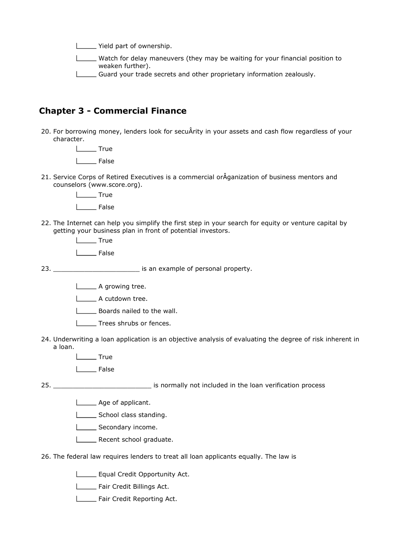Yield part of ownership.

Watch for delay maneuvers (they may be waiting for your financial position to weaken further).

Guard your trade secrets and other proprietary information zealously.

#### Chapter 3 - Commercial Finance

20. For borrowing money, lenders look for secuÂrity in your assets and cash flow regardless of your character.

> L<sub>tu</sub> True Lacket False

21. Service Corps of Retired Executives is a commercial orÂganization of business mentors and counselors (www.score.org).

> L<sub>Tue</sub> True  $I_{\text{}}$  False

22. The Internet can help you simplify the first step in your search for equity or venture capital by getting your business plan in front of potential investors.

> $I_{\text{max}}$  True L<sub>B</sub>False

 $23.$ 

is an example of personal property.

- **L**A growing tree.
- **LECCC** A cutdown tree.
- **Boards nailed to the wall.**
- **Trees shrubs or fences.**
- 24. Underwriting a loan application is an objective analysis of evaluating the degree of risk inherent in a loan.
	- $\Box$ True
	- Lackennication False

 $25.$ **\_\_\_\_\_\_\_\_\_\_\_\_\_\_\_\_\_\_\_\_\_\_\_** is normally not included in the loan verification process

- Age of applicant.
	- School class standing.
	- Secondary income.
	- Recent school graduate.
- 26. The federal law requires lenders to treat all loan applicants equally. The law is
	- **LEGUAL Credit Opportunity Act.**
	- Fair Credit Billings Act.
	- Fair Credit Reporting Act.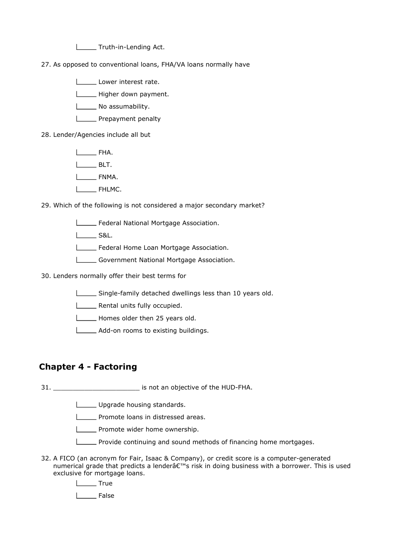Truth-in-Lending Act.

27. As opposed to conventional loans, FHA/VA loans normally have

Lower interest rate.

Higher down payment.

No assumability.

**Lackson** Prepayment penalty

28. Lender/Agencies include all but

FHA.

**BLT.** 

L**LETTE** FNMA.

**LEGGE** FHLMC.

29. Which of the following is not considered a major secondary market?

Federal National Mortgage Association.

**L\_\_\_\_\_\_\_\_ S&L.** 

Federal Home Loan Mortgage Association.

Government National Mortgage Association.

30. Lenders normally offer their best terms for

Single-family detached dwellings less than 10 years old.

**LETT** Rental units fully occupied.

Homes older then 25 years old.

Add-on rooms to existing buildings.

#### Chapter 4 - Factoring

31. \_\_\_\_\_\_\_\_\_\_\_\_\_\_\_\_\_\_\_\_\_\_ is not an objective of the HUD-FHA.

Upgrade housing standards.

**L\_\_\_\_** Promote loans in distressed areas.

**LETT** Promote wider home ownership.

Provide continuing and sound methods of financing home mortgages.

32. A FICO (an acronym for Fair, Isaac & Company), or credit score is a computer-generated numerical grade that predicts a lender $\hat{\mathsf{a}} \in \mathbb{N}$  risk in doing business with a borrower. This is used exclusive for mortgage loans.

L<sub>True</sub>

L<sub>L</sub>False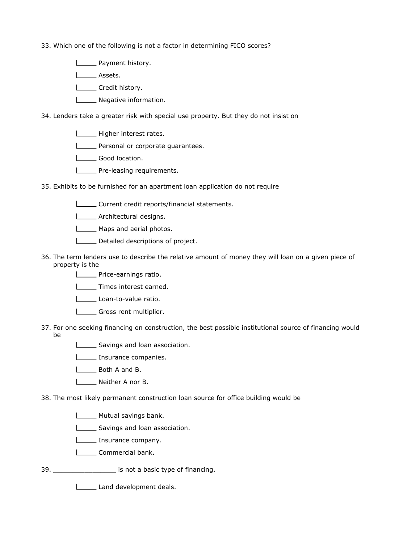33. Which one of the following is not a factor in determining FICO scores?

**LETT** Payment history.

Lassets.

**LETT** Credit history.

**Negative information.** 

34. Lenders take a greater risk with special use property. But they do not insist on

- Higher interest rates.
- **LECT** Personal or corporate quarantees.
- **Lackson** Good location.
- **LETTE** Pre-leasing requirements.
- 35. Exhibits to be furnished for an apartment loan application do not require
	- Current credit reports/financial statements.
	- **LETTE** Architectural designs.
	- Maps and aerial photos.
	- Detailed descriptions of project.
- 36. The term lenders use to describe the relative amount of money they will loan on a given piece of property is the
	- **LECTE** Price-earnings ratio.
	- **LECT** Times interest earned.
	- Loan-to-value ratio.
	- Gross rent multiplier.
- 37. For one seeking financing on construction, the best possible institutional source of financing would be
	- Savings and loan association.
	- **Insurance companies.**
	- **L** Both A and B.
	- Neither A nor B.
- 38. The most likely permanent construction loan source for office building would be
	- **Mutual savings bank.**
	- Savings and loan association.
	- **L\_\_\_\_** Insurance company.
	- **L\_\_\_\_\_** Commercial bank.
- 39. \_\_\_\_\_\_\_\_\_\_\_\_\_\_\_\_ is not a basic type of financing.

**Land development deals.**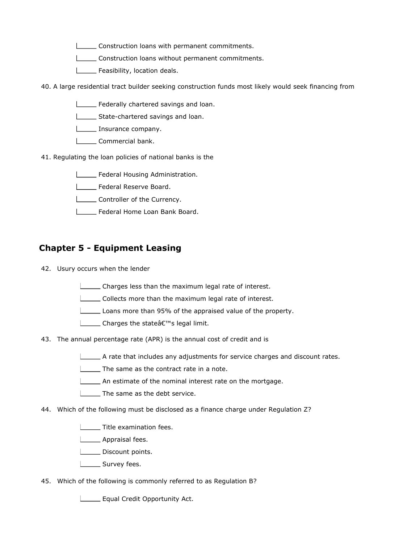- Construction loans with permanent commitments.
- Construction loans without permanent commitments.
- **LETT** Feasibility, location deals.
- 40. A large residential tract builder seeking construction funds most likely would seek financing from
	- Federally chartered savings and loan.
	- State-chartered savings and loan.
	- **Insurance company.**
	- L\_\_\_\_\_\_ Commercial bank.
- 41. Regulating the loan policies of national banks is the
	- **Letteral Housing Administration.**
	- **LETTE** Federal Reserve Board.
	- **LETT** Controller of the Currency.
	- Federal Home Loan Bank Board.

#### Chapter 5 - Equipment Leasing

- 42. Usury occurs when the lender
	- Charges less than the maximum legal rate of interest.
	- Collects more than the maximum legal rate of interest.
	- Loans more than 95% of the appraised value of the property.
	- **L** Charges the stateâ€<sup>™</sup>s legal limit.
- 43. The annual percentage rate (APR) is the annual cost of credit and is
	- $\Box$  A rate that includes any adjustments for service charges and discount rates.
	- The same as the contract rate in a note.
	- An estimate of the nominal interest rate on the mortgage.
	- I The same as the debt service.
- 44. Which of the following must be disclosed as a finance charge under Regulation Z?
	- **Title examination fees.**
	- **L** Appraisal fees.
	- **LETTE** Discount points.
	- Survey fees.
- 45. Which of the following is commonly referred to as Regulation B?

**LEGUAL Credit Opportunity Act.**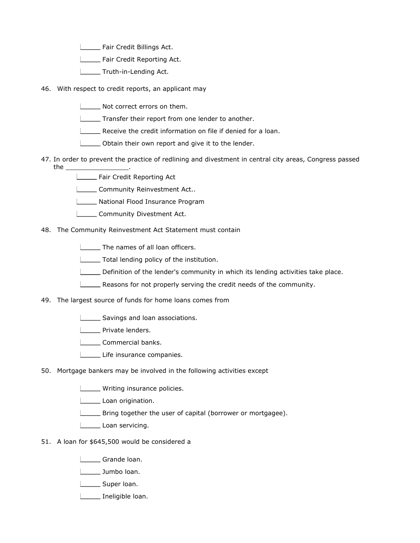Fair Credit Billings Act.

**LETT** Fair Credit Reporting Act.

- **LETTE** Truth-in-Lending Act.
- 46. With respect to credit reports, an applicant may
	- Not correct errors on them.
	- **Transfer their report from one lender to another.**
	- **LECT** Receive the credit information on file if denied for a loan.
	- Obtain their own report and give it to the lender.
- 47. In order to prevent the practice of redlining and divestment in central city areas, Congress passed the \_\_\_\_\_\_\_\_\_\_\_\_\_\_\_\_.
	- Fair Credit Reporting Act
	- **LECOMMUNITY Reinvestment Act..**
	- **LETTE** National Flood Insurance Program
	- L\_\_\_\_\_\_ Community Divestment Act.
- 48. The Community Reinvestment Act Statement must contain
	- [ $\Box$ ] The names of all loan officers.
	- Total lending policy of the institution.
	- Definition of the lender's community in which its lending activities take place.
	- **EXECUTE:** Reasons for not properly serving the credit needs of the community.
- 49. The largest source of funds for home loans comes from
	- Savings and loan associations.
	- **L\_\_\_\_** Private lenders.
	- Commercial banks.
	- Life insurance companies.
- 50. Mortgage bankers may be involved in the following activities except
	- **LETTE** Writing insurance policies.
	- Loan origination.
	- Bring together the user of capital (borrower or mortgagee).
	- Loan servicing.
- 51. A loan for \$645,500 would be considered a
	- Grande loan.
	- **Letter** Jumbo loan.
	- Super loan.
	- Ineligible loan.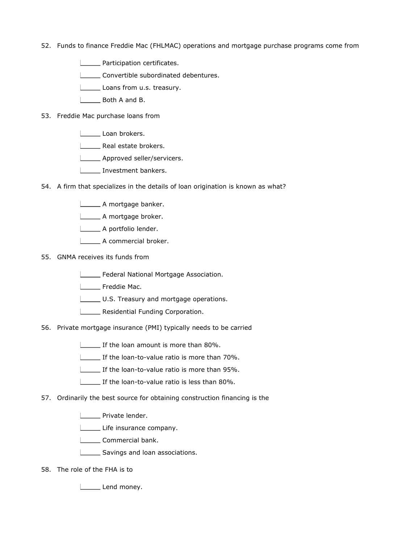- 52. Funds to finance Freddie Mac (FHLMAC) operations and mortgage purchase programs come from
	- **LECTE** Participation certificates.
	- Convertible subordinated debentures.
	- Loans from u.s. treasury.
	- **L** Both A and B.
- 53. Freddie Mac purchase loans from
	- Loan brokers.
	- **LECT** Real estate brokers.
	- **LETTE** Approved seller/servicers.
	- **Investment bankers.**
- 54. A firm that specializes in the details of loan origination is known as what?
	- A mortgage banker.
	- **Letter** A mortgage broker.
	- A portfolio lender.
	- **LECCC** A commercial broker.
- 55. GNMA receives its funds from
	- Federal National Mortgage Association.
	- **L** Freddie Mac.
	- U.S. Treasury and mortgage operations.
	- **LETT** Residential Funding Corporation.
- 56. Private mortgage insurance (PMI) typically needs to be carried
	- If the loan amount is more than 80%.
	- If the loan-to-value ratio is more than 70%.
	- If the loan-to-value ratio is more than 95%.
	- If the loan-to-value ratio is less than 80%.
- 57. Ordinarily the best source for obtaining construction financing is the
	- **LECTE** Private lender.
	- Life insurance company.
	- L\_\_\_\_\_\_ Commercial bank.
	- Savings and loan associations.
- 58. The role of the FHA is to
	- Lend money.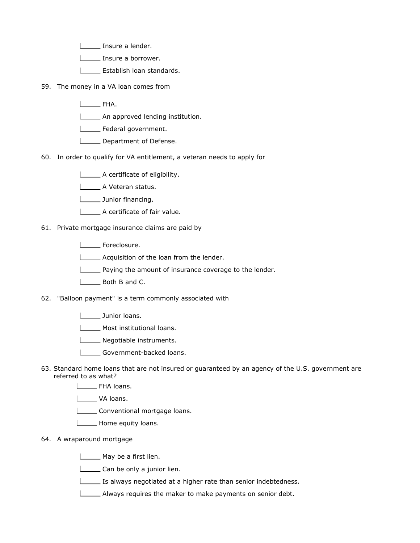Insure a lender.

I <u>Insure</u> a borrower.

**L\_\_\_\_\_** Establish loan standards.

- 59. The money in a VA loan comes from
	- L**ERGE** FHA.
	- **LETTE:** An approved lending institution.

Federal government.

- **L\_\_\_\_** Department of Defense.
- 60. In order to qualify for VA entitlement, a veteran needs to apply for

A certificate of eligibility.

- A Veteran status.
- **Junior financing.**
- A certificate of fair value.

61. Private mortgage insurance claims are paid by

**L** Foreclosure.

Acquisition of the loan from the lender.

**Paying the amount of insurance coverage to the lender.** 

L<sub>\_\_\_</sub>\_\_\_\_\_ Both B and C.

62. "Balloon payment" is a term commonly associated with

**Letter** Junior loans.

Most institutional loans.

**L\_\_\_\_\_** Negotiable instruments.

Government-backed loans.

63. Standard home loans that are not insured or guaranteed by an agency of the U.S. government are referred to as what?

**LEALER FHA loans.** 

Lackson VA loans.

Conventional mortgage loans.

**Lackson** Home equity loans.

64. A wraparound mortgage

May be a first lien.

Can be only a junior lien.

Is always negotiated at a higher rate than senior indebtedness.

Always requires the maker to make payments on senior debt.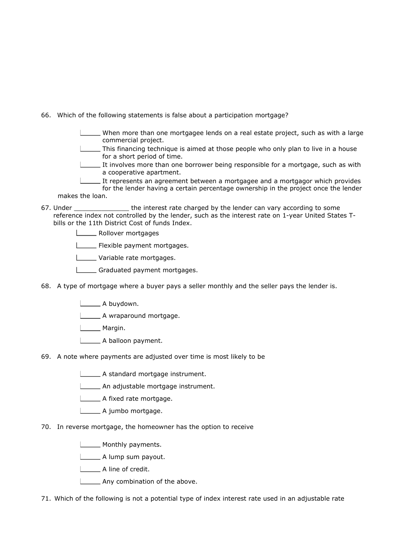66. Which of the following statements is false about a participation mortgage?

| When more than one mortgagee lends on a real estate project, such as with a large |  |  |  |  |  |
|-----------------------------------------------------------------------------------|--|--|--|--|--|
| commercial project.                                                               |  |  |  |  |  |

This financing technique is aimed at those people who only plan to live in a house for a short period of time.

It involves more than one borrower being responsible for a mortgage, such as with a cooperative apartment.

It represents an agreement between a mortgagee and a mortgagor which provides

for the lender having a certain percentage ownership in the project once the lender makes the loan.

- 67. the interest rate charged by the lender can vary according to some reference index not controlled by the lender, such as the interest rate on 1-year United States Tbills or the 11th District Cost of funds Index.
	- **Lower mortgages**
	- **LECTE** Flexible payment mortgages.
	- **Lette** Variable rate mortgages.
	- Graduated payment mortgages.
- 68. A type of mortgage where a buyer pays a seller monthly and the seller pays the lender is.
	- **L**A buydown.

A wraparound mortgage.

**Lackson** Margin.

- A balloon payment.
- 69. A note where payments are adjusted over time is most likely to be
	- A standard mortgage instrument.
	- An adjustable mortgage instrument.

A fixed rate mortgage.

- L\_\_\_\_\_\_ A jumbo mortgage.
- 70. In reverse mortgage, the homeowner has the option to receive

**Monthly payments.** 

- A lump sum payout.
- A line of credit.
- **L\_\_\_\_** Any combination of the above.

71. Which of the following is not a potential type of index interest rate used in an adjustable rate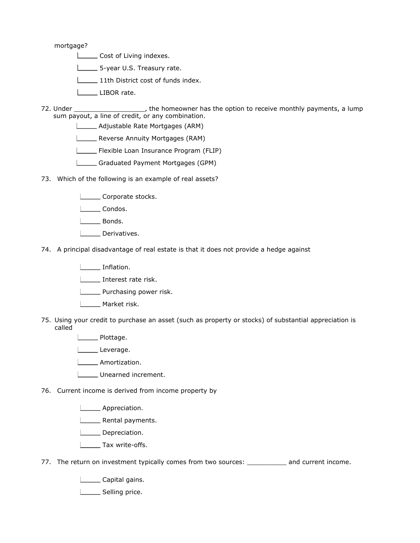mortgage?

- Cost of Living indexes.
- 5-year U.S. Treasury rate.
- 11th District cost of funds index.
- LIBOR rate.
- 72.  $\mu$ , the homeowner has the option to receive monthly payments, a lump sum payout, a line of credit, or any combination.
	- Adjustable Rate Mortgages (ARM)
	- **Lastian** Reverse Annuity Mortgages (RAM)
	- Flexible Loan Insurance Program (FLIP)
	- Graduated Payment Mortgages (GPM)
- 73. Which of the following is an example of real assets?
	- Corporate stocks.
	- Londos.
	- L<sub>Bonds</sub>.
	- | Derivatives.
- 74. A principal disadvantage of real estate is that it does not provide a hedge against
	- **Lackson** Inflation.
	- Interest rate risk.
	- **LETT** Purchasing power risk.
	- L\_\_\_\_\_ Market risk.
- 75. Using your credit to purchase an asset (such as property or stocks) of substantial appreciation is called

**Lackson** Plottage.

- Leverage.
- Amortization.
- Unearned increment.
- 76. Current income is derived from income property by
	- **Lackson** Appreciation.
	- L\_\_\_\_\_ Rental payments.
	- I\_\_\_\_ Depreciation.
	- **L**\_\_\_\_\_\_\_ Tax write-offs.
- 77. The return on investment typically comes from two sources: \_\_\_\_\_\_\_\_\_\_ and current income.
	- **LECAL** Capital gains.
	- L\_\_\_\_\_\_ Selling price.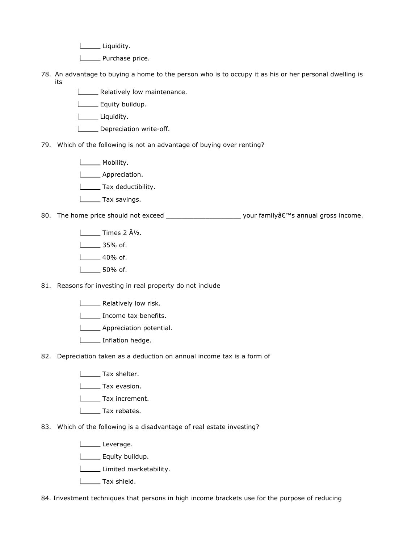Liquidity.

L\_\_\_\_\_\_ Purchase price.

- 78. An advantage to buying a home to the person who is to occupy it as his or her personal dwelling is its
	- Relatively low maintenance.
	- **Equity buildup.**
	- Liquidity.
	- Depreciation write-off.
- 79. Which of the following is not an advantage of buying over renting?

**Lackson** Mobility.

- **Letter** Appreciation.
- **Tax deductibility.**
- **Listing** Tax savings.
- 80. The home price should not exceed \_\_\_\_\_\_\_\_\_\_\_\_\_\_\_\_\_\_\_\_\_\_\_\_\_\_\_ your family's annual gross income.
	- $\Box$ Times 2  $\hat{A}\frac{1}{2}$ .
	- $\frac{1}{35\%}$  of.
	- $\frac{1}{40\%}$  of.
	- 50% of.
- 81. Reasons for investing in real property do not include
	- **L** Relatively low risk.
	- Income tax benefits.
	- **LETTE** Appreciation potential.
	- Inflation hedge.
- 82. Depreciation taken as a deduction on annual income tax is a form of
	- **Tax shelter.**
	- **L** Tax evasion.
	- L\_\_\_\_\_\_ Tax increment.
	- L<sub>L</sub>Tax rebates.
- 83. Which of the following is a disadvantage of real estate investing?
	- Leverage.
	- L\_\_\_\_\_\_ Equity buildup.
	- Limited marketability.
	- **Tax shield.**
- 84. Investment techniques that persons in high income brackets use for the purpose of reducing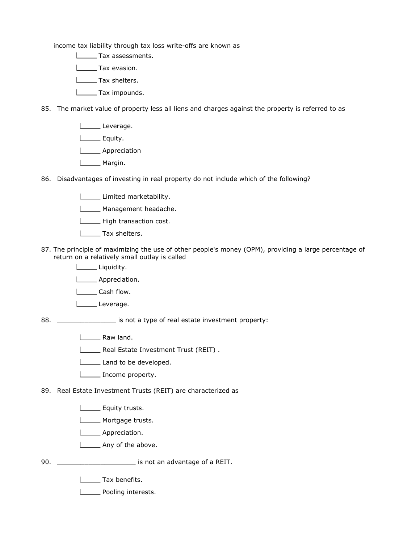income tax liability through tax loss write-offs are known as

**LETTE Tax assessments.** 

**Lax** evasion.

- **L**\_\_\_\_\_\_\_ Tax shelters.
- **L\_\_\_\_\_\_** Tax impounds.
- 85. The market value of property less all liens and charges against the property is referred to as
	- Leverage. L\_\_\_\_\_\_ Equity. **Lacker Appreciation** L<sub>Margin</sub>.
- 86. Disadvantages of investing in real property do not include which of the following?
	- **Limited marketability.**
	- Management headache.
	- High transaction cost.
	- **LACCE** Tax shelters.
- 87. The principle of maximizing the use of other people's money (OPM), providing a large percentage of return on a relatively small outlay is called
	- Liquidity.
	- **Lackson** Appreciation.
	- **Lash flow.**
	- Leverage.
- 88. \_\_\_\_\_\_\_\_\_\_\_\_\_\_\_ is not a type of real estate investment property:
	- **Loopey** Raw land.
	- Real Estate Investment Trust (REIT).
	- Land to be developed.
	- **LETT** Income property.

89. Real Estate Investment Trusts (REIT) are characterized as

- **L** Equity trusts.
- L\_\_\_\_\_ Mortgage trusts.
- | \_\_\_\_\_ Appreciation.
- Any of the above.
- 90. \_\_\_\_\_\_\_\_\_\_\_\_\_\_\_\_\_\_\_\_ is not an advantage of a REIT.
	- **L** Tax benefits.
	- L\_\_\_\_\_ Pooling interests.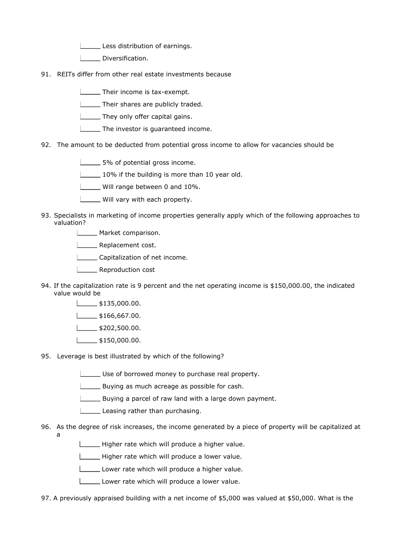Less distribution of earnings.

Diversification.

- 91. REITs differ from other real estate investments because
	- **Their income is tax-exempt.**

[Fig. 2] Their shares are publicly traded.

**They only offer capital gains.** 

- **The investor is quaranteed income.**
- 92. The amount to be deducted from potential gross income to allow for vacancies should be

5% of potential gross income.

10% if the building is more than 10 year old.

Will range between 0 and 10%.

- Will vary with each property.
- 93. Specialists in marketing of income properties generally apply which of the following approaches to valuation?
	- **Market comparison.**
	- **Lexible** Replacement cost.
	- Capitalization of net income.
	- **LECTE** Reproduction cost
- 94. If the capitalization rate is 9 percent and the net operating income is \$150,000.00, the indicated value would be
	- $\frac{1}{1}$ \$135,000.00.
	- $\Box$ \$166,667.00.
	- $\frac{1}{2}$ \$202,500.00.
	- $\Box$ \$150,000.00.
- 95. Leverage is best illustrated by which of the following?
	- Use of borrowed money to purchase real property.
	- Buying as much acreage as possible for cash.
	- Buying a parcel of raw land with a large down payment.
	- Leasing rather than purchasing.
- 96. As the degree of risk increases, the income generated by a piece of property will be capitalized at a
	- Higher rate which will produce a higher value.
	- Higher rate which will produce a lower value.
	- Lower rate which will produce a higher value.
	- Lower rate which will produce a lower value.
- 97. A previously appraised building with a net income of \$5,000 was valued at \$50,000. What is the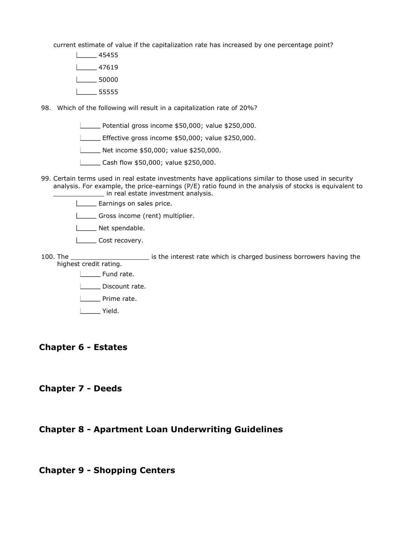current estimate of value if the capitalization rate has increased by one percentage point?

- 45455
- $\frac{1}{2}$  47619
- $\sqrt{2}$  50000
- $-55555$
- 98. Which of the following will result in a capitalization rate of 20%?
	- **L\_\_\_\_\_** Potential gross income \$50,000; value \$250,000.
	- **L\_\_\_\_\_** Effective gross income \$50,000; value \$250,000.
	- Net income \$50,000; value \$250,000.
	- **L\_\_\_\_\_\_ Cash flow \$50,000; value \$250,000.**
- 99. Certain terms used in real estate investments have applications similar to those used in security analysis. For example, the price-earnings (P/E) ratio found in the analysis of stocks is equivalent to \_\_\_\_\_\_\_\_\_\_\_\_\_ in real estate investment analysis.
	- **Earnings on sales price.**
	- Gross income (rent) multiplier.
	- Net spendable.
	- L**LETT** Cost recovery.
- 100. The interest rate which is charged business borrowers having the highest credit rating.
	- **L** Fund rate.
	- L\_\_\_\_\_\_ Discount rate.
	- **L** Prime rate.
	- L<sub>ound</sub> Yield.

#### Chapter 6 - Estates

#### Chapter 7 - Deeds

#### Chapter 8 - Apartment Loan Underwriting Guidelines

#### Chapter 9 - Shopping Centers